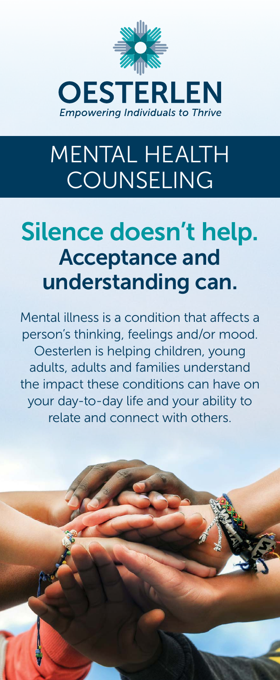

# MENTAL HEALTH COUNSELING

## Silence doesn't help. Acceptance and understanding can.

Mental illness is a condition that affects a person's thinking, feelings and/or mood. Oesterlen is helping children, young adults, adults and families understand the impact these conditions can have on your day-to-day life and your ability to relate and connect with others.